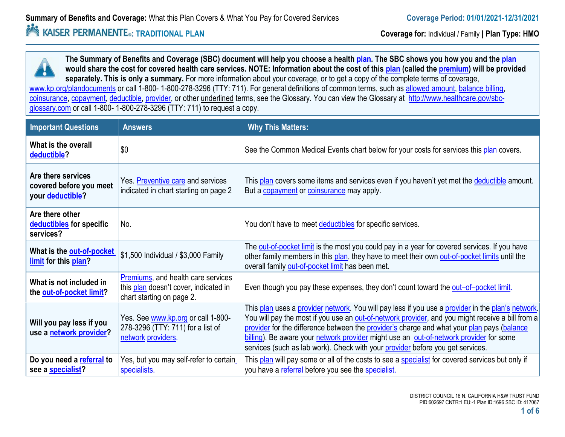#### *<u>Adde</u>* **EXAISER PERMANENTE**<sub>®</sub>: TRADITIONAL PLAN<br> **Coverage for:** Individual / Family | Plan Type: HMO

**The Summary of Benefits and Coverage (SBC) document will help you choose a health plan. The SBC shows you how you and the plan would share the cost for covered health care services. NOTE: Information about the cost of this plan (called the premium) will be provided separately. This is only a summary.** For more information about your coverage, or to get a copy of the complete terms of coverage, www.kp.org/plandocuments or call 1-800- 1-800-278-3296 (TTY: 711). For general definitions of common terms, such as allowed amount, balance billing, coinsurance, copayment, deductible, provider, or other underlined terms, see the Glossary. You can view the Glossary at http://www.healthcare.gov/sbcglossary.com or call 1-800- 1-800-278-3296 (TTY: 711) to request a copy.

| <b>Important Questions</b>                                        | <b>Answers</b>                                                                                           | <b>Why This Matters:</b>                                                                                                                                                                                                                                                                                                                                                                                                                                                                |
|-------------------------------------------------------------------|----------------------------------------------------------------------------------------------------------|-----------------------------------------------------------------------------------------------------------------------------------------------------------------------------------------------------------------------------------------------------------------------------------------------------------------------------------------------------------------------------------------------------------------------------------------------------------------------------------------|
| What is the overall<br>deductible?                                | \$0                                                                                                      | See the Common Medical Events chart below for your costs for services this plan covers.                                                                                                                                                                                                                                                                                                                                                                                                 |
| Are there services<br>covered before you meet<br>your deductible? | Yes. Preventive care and services<br>indicated in chart starting on page 2                               | This plan covers some items and services even if you haven't yet met the deductible amount.<br>But a copayment or coinsurance may apply.                                                                                                                                                                                                                                                                                                                                                |
| Are there other<br>deductibles for specific<br>services?          | No.                                                                                                      | You don't have to meet deductibles for specific services.                                                                                                                                                                                                                                                                                                                                                                                                                               |
| What is the out-of-pocket<br>limit for this plan?                 | \$1,500 Individual / \$3,000 Family                                                                      | The <b>out-of-pocket limit</b> is the most you could pay in a year for covered services. If you have<br>other family members in this plan, they have to meet their own out-of-pocket limits until the<br>overall family out-of-pocket limit has been met.                                                                                                                                                                                                                               |
| What is not included in<br>the out-of-pocket limit?               | Premiums, and health care services<br>this plan doesn't cover, indicated in<br>chart starting on page 2. | Even though you pay these expenses, they don't count toward the out-of-pocket limit.                                                                                                                                                                                                                                                                                                                                                                                                    |
| Will you pay less if you<br>use a network provider?               | Yes. See www.kp.org or call 1-800-<br>278-3296 (TTY: 711) for a list of<br>network providers.            | This plan uses a provider network. You will pay less if you use a provider in the plan's network.<br>You will pay the most if you use an <b>out-of-network provider</b> , and you might receive a bill from a<br>provider for the difference between the provider's charge and what your plan pays (balance<br>billing). Be aware your network provider might use an out-of-network provider for some<br>services (such as lab work). Check with your provider before you get services. |
| Do you need a referral to<br>see a specialist?                    | Yes, but you may self-refer to certain<br>specialists.                                                   | This plan will pay some or all of the costs to see a specialist for covered services but only if<br>you have a referral before you see the specialist.                                                                                                                                                                                                                                                                                                                                  |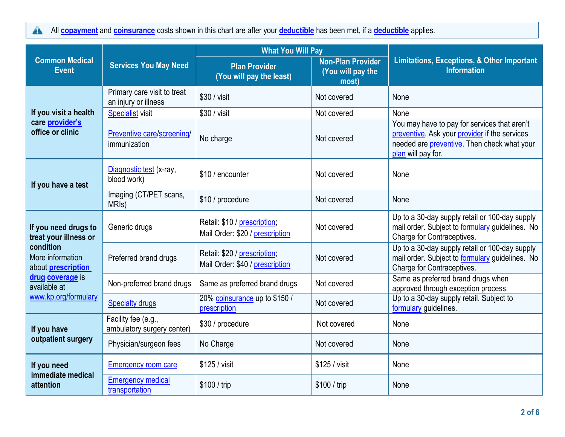All **copayment** and **coinsurance** costs shown in this chart are after your **deductible** has been met, if a **deductible** applies.  $\blacktriangle$ 

|                                                            |                                                     | <b>What You Will Pay</b>                                        |                                                        |                                                                                                                                                                            |  |
|------------------------------------------------------------|-----------------------------------------------------|-----------------------------------------------------------------|--------------------------------------------------------|----------------------------------------------------------------------------------------------------------------------------------------------------------------------------|--|
| <b>Common Medical</b><br><b>Event</b>                      | <b>Services You May Need</b>                        | <b>Plan Provider</b><br>(You will pay the least)                | <b>Non-Plan Provider</b><br>(You will pay the<br>most) | <b>Limitations, Exceptions, &amp; Other Important</b><br><b>Information</b>                                                                                                |  |
|                                                            | Primary care visit to treat<br>an injury or illness | \$30 / visit                                                    | Not covered                                            | None                                                                                                                                                                       |  |
| If you visit a health                                      | <b>Specialist visit</b>                             | \$30 / visit                                                    | Not covered                                            | None                                                                                                                                                                       |  |
| care provider's<br>office or clinic                        | Preventive care/screening/<br>immunization          | No charge                                                       | Not covered                                            | You may have to pay for services that aren't<br>preventive. Ask your provider if the services<br>needed are <b>preventive</b> . Then check what your<br>plan will pay for. |  |
| If you have a test                                         | Diagnostic test (x-ray,<br>blood work)              | \$10 / encounter                                                | Not covered                                            | None                                                                                                                                                                       |  |
|                                                            | Imaging (CT/PET scans,<br>MRI <sub>s</sub> )        | \$10 / procedure                                                | Not covered                                            | None                                                                                                                                                                       |  |
| If you need drugs to<br>treat your illness or              | Generic drugs                                       | Retail: \$10 / prescription;<br>Mail Order: \$20 / prescription | Not covered                                            | Up to a 30-day supply retail or 100-day supply<br>mail order. Subject to formulary guidelines. No<br>Charge for Contraceptives.                                            |  |
| condition<br>More information<br>about <b>prescription</b> | Preferred brand drugs                               | Retail: \$20 / prescription;<br>Mail Order: \$40 / prescription | Not covered                                            | Up to a 30-day supply retail or 100-day supply<br>mail order. Subject to formulary guidelines. No<br>Charge for Contraceptives.                                            |  |
| drug coverage is<br>available at                           | Non-preferred brand drugs                           | Same as preferred brand drugs                                   | Not covered                                            | Same as preferred brand drugs when<br>approved through exception process.                                                                                                  |  |
| www.kp.org/formulary                                       | <b>Specialty drugs</b>                              | 20% coinsurance up to \$150 /<br>prescription                   | Not covered                                            | Up to a 30-day supply retail. Subject to<br>formulary guidelines.                                                                                                          |  |
| If you have                                                | Facility fee (e.g.,<br>ambulatory surgery center)   | \$30 / procedure                                                | Not covered                                            | None                                                                                                                                                                       |  |
| outpatient surgery                                         | Physician/surgeon fees                              | No Charge                                                       | Not covered                                            | None                                                                                                                                                                       |  |
| If you need                                                | <b>Emergency room care</b>                          | \$125 / visit                                                   | \$125 / visit                                          | None                                                                                                                                                                       |  |
| immediate medical<br>attention                             | <b>Emergency medical</b><br>transportation          | \$100 / trip                                                    | \$100 / trip                                           | None                                                                                                                                                                       |  |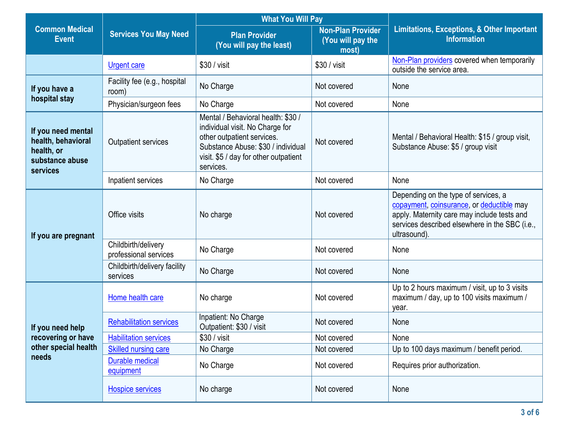|                                                                                              | <b>What You Will Pay</b>                     |                                                                                                                                                                                                 |                                                        |                                                                                                                                                                                                    |
|----------------------------------------------------------------------------------------------|----------------------------------------------|-------------------------------------------------------------------------------------------------------------------------------------------------------------------------------------------------|--------------------------------------------------------|----------------------------------------------------------------------------------------------------------------------------------------------------------------------------------------------------|
| <b>Common Medical</b><br><b>Event</b>                                                        | <b>Services You May Need</b>                 | <b>Plan Provider</b><br>(You will pay the least)                                                                                                                                                | <b>Non-Plan Provider</b><br>(You will pay the<br>most) | Limitations, Exceptions, & Other Important<br><b>Information</b>                                                                                                                                   |
|                                                                                              | <b>Urgent care</b>                           | $$30 / v$ isit                                                                                                                                                                                  | \$30 / visit                                           | Non-Plan providers covered when temporarily<br>outside the service area.                                                                                                                           |
| If you have a                                                                                | Facility fee (e.g., hospital<br>room)        | No Charge                                                                                                                                                                                       | Not covered                                            | None                                                                                                                                                                                               |
| hospital stay                                                                                | Physician/surgeon fees                       | No Charge                                                                                                                                                                                       | Not covered                                            | None                                                                                                                                                                                               |
| If you need mental<br>health, behavioral<br>health, or<br>substance abuse<br><b>services</b> | <b>Outpatient services</b>                   | Mental / Behavioral health: \$30 /<br>individual visit. No Charge for<br>other outpatient services.<br>Substance Abuse: \$30 / individual<br>visit. \$5 / day for other outpatient<br>services. | Not covered                                            | Mental / Behavioral Health: \$15 / group visit,<br>Substance Abuse: \$5 / group visit                                                                                                              |
|                                                                                              | Inpatient services                           | No Charge                                                                                                                                                                                       | Not covered                                            | None                                                                                                                                                                                               |
| If you are pregnant                                                                          | Office visits                                | No charge                                                                                                                                                                                       | Not covered                                            | Depending on the type of services, a<br>copayment, coinsurance, or deductible may<br>apply. Maternity care may include tests and<br>services described elsewhere in the SBC (i.e.,<br>ultrasound). |
|                                                                                              | Childbirth/delivery<br>professional services | No Charge                                                                                                                                                                                       | Not covered                                            | None                                                                                                                                                                                               |
|                                                                                              | Childbirth/delivery facility<br>services     | No Charge                                                                                                                                                                                       | Not covered                                            | None                                                                                                                                                                                               |
| If you need help<br>recovering or have<br>other special health<br>needs                      | Home health care                             | No charge                                                                                                                                                                                       | Not covered                                            | Up to 2 hours maximum / visit, up to 3 visits<br>maximum / day, up to 100 visits maximum /<br>year.                                                                                                |
|                                                                                              | <b>Rehabilitation services</b>               | Inpatient: No Charge<br>Outpatient: \$30 / visit                                                                                                                                                | Not covered                                            | None                                                                                                                                                                                               |
|                                                                                              | <b>Habilitation services</b>                 | \$30 / visit                                                                                                                                                                                    | Not covered                                            | None                                                                                                                                                                                               |
|                                                                                              | <b>Skilled nursing care</b>                  | No Charge                                                                                                                                                                                       | Not covered                                            | Up to 100 days maximum / benefit period.                                                                                                                                                           |
|                                                                                              | <b>Durable medical</b><br>equipment          | No Charge                                                                                                                                                                                       | Not covered                                            | Requires prior authorization.                                                                                                                                                                      |
|                                                                                              | <b>Hospice services</b>                      | No charge                                                                                                                                                                                       | Not covered                                            | None                                                                                                                                                                                               |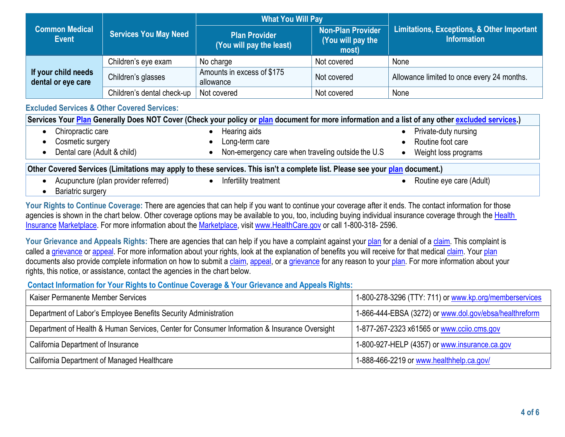|                                                                       |                            | <b>What You Will Pay</b>                         |                                                        |                                                                  |  |
|-----------------------------------------------------------------------|----------------------------|--------------------------------------------------|--------------------------------------------------------|------------------------------------------------------------------|--|
| <b>Common Medical</b><br><b>Services You May Need</b><br><b>Event</b> |                            | <b>Plan Provider</b><br>(You will pay the least) | <b>Non-Plan Provider</b><br>(You will pay the<br>most) | Limitations, Exceptions, & Other Important<br><b>Information</b> |  |
|                                                                       | Children's eye exam        | No charge                                        | Not covered                                            | None                                                             |  |
| If your child needs<br>dental or eye care                             | Children's glasses         | Amounts in excess of \$175<br>allowance          | Not covered                                            | Allowance limited to once every 24 months.                       |  |
|                                                                       | Children's dental check-up | Not covered                                      | Not covered                                            | None                                                             |  |

## **Excluded Services & Other Covered Services:**

|                             |                                                   | Services Your Plan Generally Does NOT Cover (Check your policy or plan document for more information and a list of any other excluded services.) |
|-----------------------------|---------------------------------------------------|--------------------------------------------------------------------------------------------------------------------------------------------------|
| Chiropractic care           | Hearing aids                                      | Private-duty nursing                                                                                                                             |
| Cosmetic surgery            | Long-term care                                    | Routine foot care                                                                                                                                |
| Dental care (Adult & child) | Non-emergency care when traveling outside the U.S | Weight loss programs                                                                                                                             |
|                             |                                                   |                                                                                                                                                  |

#### **Other Covered Services (Limitations may apply to these services. This isn't a complete list. Please see your plan document.)**

- Acupuncture (plan provider referred)
- 
- Infertility treatment **COV COV COV COV COV COV COV COV COV COV COV COV COV COV COV COV COV COV COV COV COV COV COV COV COV COV COV COV COV COV COV COV COV**

• Bariatric surgery

Your Rights to Continue Coverage: There are agencies that can help if you want to continue your coverage after it ends. The contact information for those agencies is shown in the chart below. Other coverage options may be available to you, too, including buying individual insurance coverage through the Health Insurance Marketplace. For more information about the Marketplace, visit www.HealthCare.gov or call 1-800-318- 2596.

Your Grievance and Appeals Rights: There are agencies that can help if you have a complaint against your plan for a denial of a claim. This complaint is called a grievance or appeal. For more information about your rights, look at the explanation of benefits you will receive for that medical claim. Your plan documents also provide complete information on how to submit a claim, appeal, or a grievance for any reason to your plan. For more information about your rights, this notice, or assistance, contact the agencies in the chart below.

**Contact Information for Your Rights to Continue Coverage & Your Grievance and Appeals Rights:**

| Kaiser Permanente Member Services                                                            | 1-800-278-3296 (TTY: 711) or www.kp.org/memberservices |
|----------------------------------------------------------------------------------------------|--------------------------------------------------------|
| Department of Labor's Employee Benefits Security Administration                              | 1-866-444-EBSA (3272) or www.dol.gov/ebsa/healthreform |
| Department of Health & Human Services, Center for Consumer Information & Insurance Oversight | 1-877-267-2323 x61565 or www.ccijo.cms.gov             |
| California Department of Insurance                                                           | 1-800-927-HELP (4357) or www.insurance.ca.gov          |
| California Department of Managed Healthcare                                                  | 1-888-466-2219 or www.healthhelp.ca.gov/               |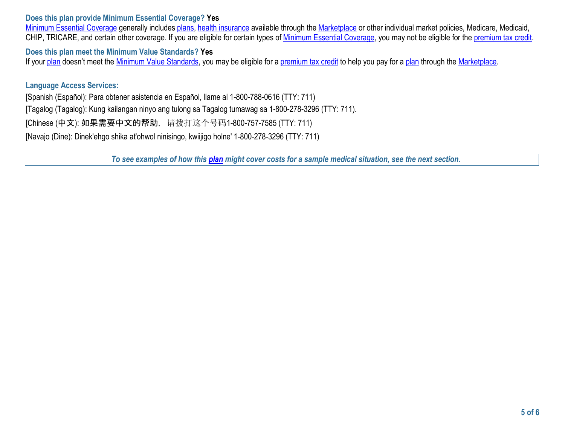### **Does this plan provide Minimum Essential Coverage? Yes**

Minimum Essential Coverage generally includes plans, health insurance available through the Marketplace or other individual market policies, Medicare, Medicaid, CHIP, TRICARE, and certain other coverage. If you are eligible for certain types of Minimum Essential Coverage, you may not be eligible for the premium tax credit.

**Does this plan meet the Minimum Value Standards? Yes** 

If your plan doesn't meet the Minimum Value Standards, you may be eligible for a premium tax credit to help you pay for a plan through the Marketplace.

### **Language Access Services:**

[Spanish (Español): Para obtener asistencia en Español, llame al 1-800-788-0616 (TTY: 711) [Tagalog (Tagalog): Kung kailangan ninyo ang tulong sa Tagalog tumawag sa 1-800-278-3296 (TTY: 711). [Chinese (中文): 如果需要中文的帮助, 请拨打这个号码1-800-757-7585 (TTY: 711) [Navajo (Dine): Dinek'ehgo shika at'ohwol ninisingo, kwiijigo holne' 1-800-278-3296 (TTY: 711)

*To see examples of how this plan might cover costs for a sample medical situation, see the next section.*